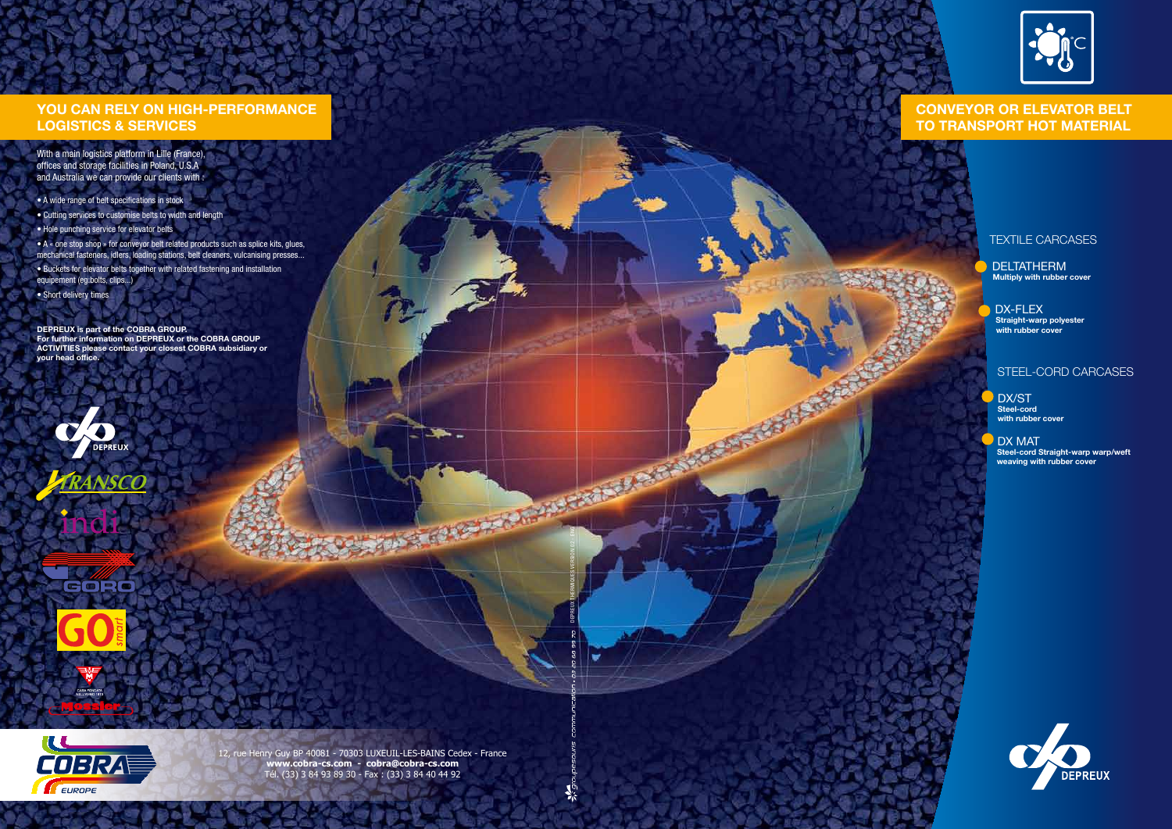## TEXTILE CARCASES

DELTATHERM **Multiply with rubber cover**

DX-FLEX **Straight-warp polyester with rubber cover**

DX/ST **Steel-cord with rubber cover**

DX MAT **Steel-cord Straight-warp warp/weft weaving with rubber cover**



## STEEL-CORD CARCASES

# **YOU CAN RELY ON HIGH-PERFORMANCE LOGISTICS & SERVICES**

With a main logistics platform in Lille (France), offices and storage facilities in Poland, U.S.A and Australia we can provide our clients with :

- A wide range of belt specifications in stock
- Cutting services to customise belts to width and length
- Hole punching service for elevator belts
- A « one stop shop » for conveyor belt related products such as splice kits, glues, mechanical fasteners, idlers, loading stations, belt cleaners, vulcanising presses...
- Buckets for elevator belts together with related fastening and installation equipement (eg:bolts, clips...)
- Short delivery times

**DEPREUX is part of the COBRA GROUP. For further information on DEPREUX or the COBRA GROUP ACTIVITIES please contact your closest COBRA subsidiary or your head office.**













# **CONVEYOR OR ELEVATOR BELT TO TRANSPORT HOT MATERIAL**

12, rue Henry Guy BP 40081 - 70303 LUXEUIL-LES-BAINS Cedex - France **www.cobra-cs.com - cobra@cobra-cs.com** Tél. (33) 3 84 93 89 30 - Fax : (33) 3 84 40 44 92

DEPREUX THERMIQUES VERSION 02 - ENG

**DESCRIPTION** 

**CARL AND REAL PROPERTY**